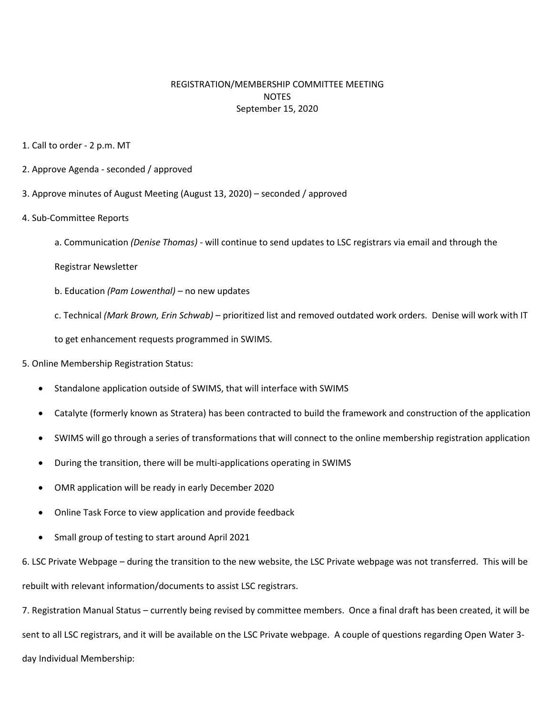## REGISTRATION/MEMBERSHIP COMMITTEE MEETING **NOTES** September 15, 2020

- 1. Call to order 2 p.m. MT
- 2. Approve Agenda seconded / approved
- 3. Approve minutes of August Meeting (August 13, 2020) seconded / approved
- 4. Sub-Committee Reports
	- a. Communication *(Denise Thomas)* will continue to send updates to LSC registrars via email and through the
	- Registrar Newsletter
	- b. Education *(Pam Lowenthal) –* no new updates
	- c. Technical *(Mark Brown, Erin Schwab)* prioritized list and removed outdated work orders. Denise will work with IT
	- to get enhancement requests programmed in SWIMS.
- 5. Online Membership Registration Status:
	- Standalone application outside of SWIMS, that will interface with SWIMS
	- Catalyte (formerly known as Stratera) has been contracted to build the framework and construction of the application
	- SWIMS will go through a series of transformations that will connect to the online membership registration application
	- During the transition, there will be multi-applications operating in SWIMS
	- OMR application will be ready in early December 2020
	- Online Task Force to view application and provide feedback
	- Small group of testing to start around April 2021

6. LSC Private Webpage – during the transition to the new website, the LSC Private webpage was not transferred. This will be rebuilt with relevant information/documents to assist LSC registrars.

7. Registration Manual Status – currently being revised by committee members. Once a final draft has been created, it will be sent to all LSC registrars, and it will be available on the LSC Private webpage. A couple of questions regarding Open Water 3 day Individual Membership: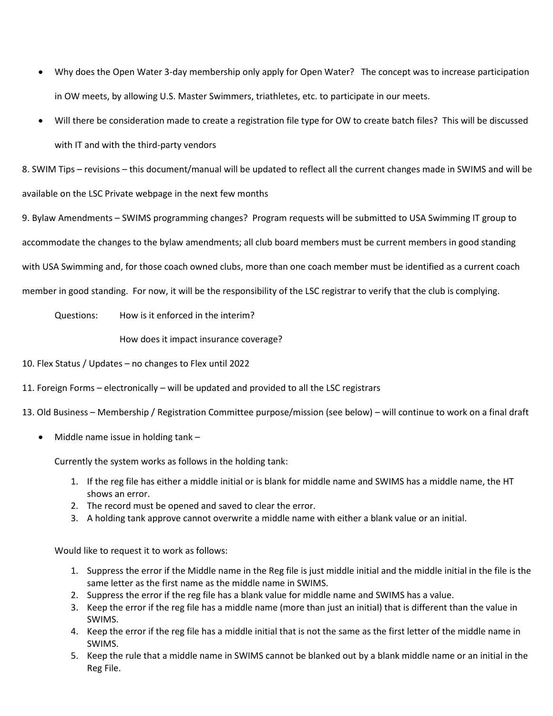- Why does the Open Water 3-day membership only apply for Open Water? The concept was to increase participation in OW meets, by allowing U.S. Master Swimmers, triathletes, etc. to participate in our meets.
- Will there be consideration made to create a registration file type for OW to create batch files? This will be discussed with IT and with the third-party vendors

8. SWIM Tips – revisions – this document/manual will be updated to reflect all the current changes made in SWIMS and will be available on the LSC Private webpage in the next few months

9. Bylaw Amendments – SWIMS programming changes? Program requests will be submitted to USA Swimming IT group to accommodate the changes to the bylaw amendments; all club board members must be current members in good standing with USA Swimming and, for those coach owned clubs, more than one coach member must be identified as a current coach member in good standing. For now, it will be the responsibility of the LSC registrar to verify that the club is complying.

Questions: How is it enforced in the interim?

How does it impact insurance coverage?

10. Flex Status / Updates – no changes to Flex until 2022

- 11. Foreign Forms electronically will be updated and provided to all the LSC registrars
- 13. Old Business Membership / Registration Committee purpose/mission (see below) will continue to work on a final draft
	- Middle name issue in holding tank –

Currently the system works as follows in the holding tank:

- 1. If the reg file has either a middle initial or is blank for middle name and SWIMS has a middle name, the HT shows an error.
- 2. The record must be opened and saved to clear the error.
- 3. A holding tank approve cannot overwrite a middle name with either a blank value or an initial.

Would like to request it to work as follows:

- 1. Suppress the error if the Middle name in the Reg file is just middle initial and the middle initial in the file is the same letter as the first name as the middle name in SWIMS.
- 2. Suppress the error if the reg file has a blank value for middle name and SWIMS has a value.
- 3. Keep the error if the reg file has a middle name (more than just an initial) that is different than the value in SWIMS.
- 4. Keep the error if the reg file has a middle initial that is not the same as the first letter of the middle name in SWIMS.
- 5. Keep the rule that a middle name in SWIMS cannot be blanked out by a blank middle name or an initial in the Reg File.